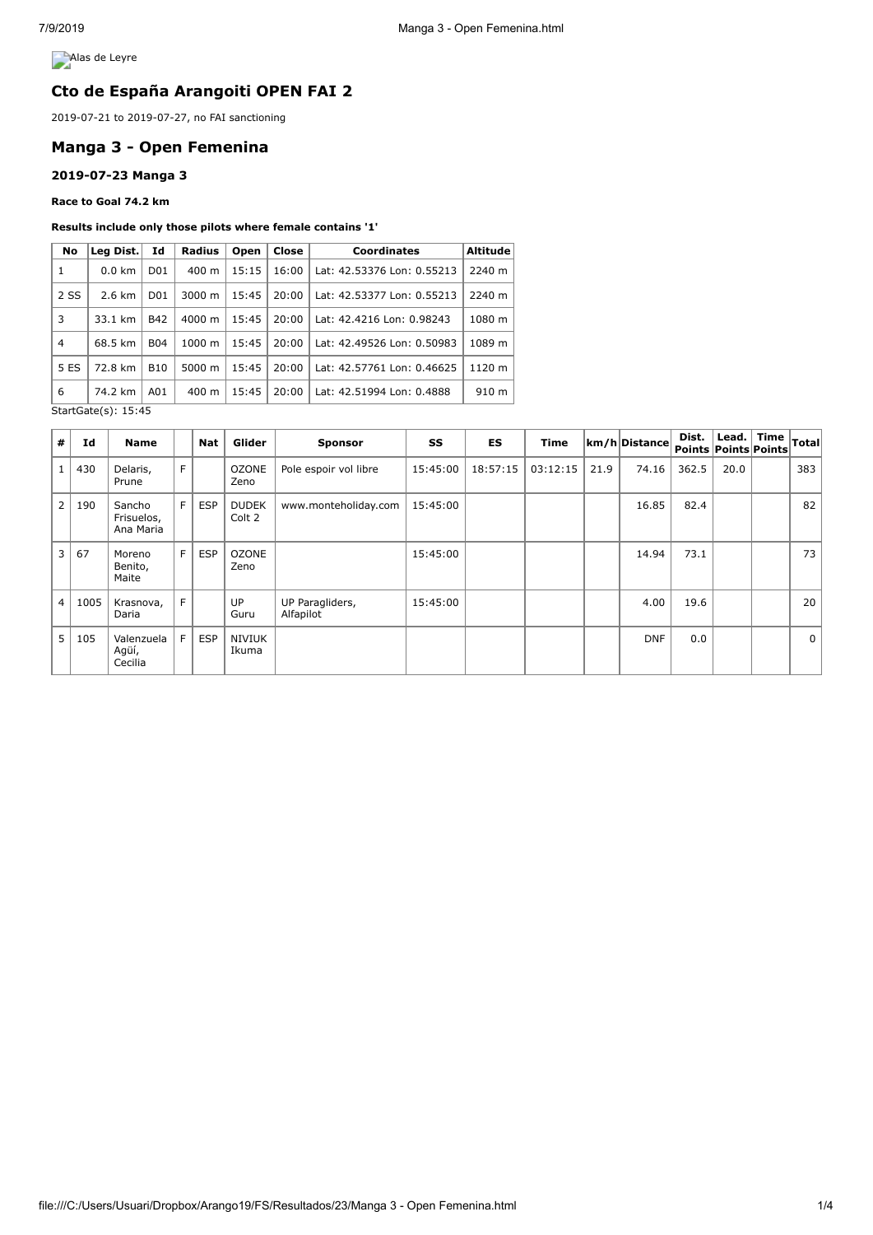**Alas de Leyre** 

# **Cto de España Arangoiti OPEN FAI 2**

2019-07-21 to 2019-07-27, no FAI sanctioning

# **Manga 3 - Open Femenina**

### **2019-07-23 Manga 3**

**Race to Goal 74.2 km**

#### **Results include only those pilots where female contains '1'**

| No                  | Leg Dist.        | Id               | <b>Radius</b>      | <b>Open</b> | Close | <b>Coordinates</b>         | <b>Altitude</b> |  |
|---------------------|------------------|------------------|--------------------|-------------|-------|----------------------------|-----------------|--|
| 1                   | $0.0 \text{ km}$ | D <sub>01</sub>  | $400 \text{ m}$    | 15:15       | 16:00 | Lat: 42.53376 Lon: 0.55213 | 2240 m          |  |
| 2 SS                | $2.6 \text{ km}$ | D <sub>0</sub> 1 | 3000 m             | 15:45       | 20:00 | Lat: 42.53377 Lon: 0.55213 | 2240 m          |  |
| 3                   | 33.1 km          | <b>B42</b>       | $4000 \; \text{m}$ | 15:45       | 20:00 | Lat: 42.4216 Lon: 0.98243  | 1080 m          |  |
| 4                   | 68.5 km          | <b>B04</b>       | $1000 \; m$        | 15:45       | 20:00 | Lat: 42.49526 Lon: 0.50983 | 1089 m          |  |
| 5 ES                | 72.8 km          | <b>B10</b>       | 5000 m             | 15:45       | 20:00 | Lat: 42.57761 Lon: 0.46625 | 1120 m          |  |
| 6                   | 74.2 km          | A01              | $400 \text{ m}$    | 15:45       | 20:00 | Lat: 42.51994 Lon: 0.4888  | 910 m           |  |
| StartGate(s): 15:45 |                  |                  |                    |             |       |                            |                 |  |

| #<br>Id                | <b>Name</b>                       |                | Nat        | Glider                 | <b>Sponsor</b>               | SS       | <b>ES</b> | <b>Time</b> |      | km/h Distance | Dist.<br>Points Points Points | Lead. | <b>Time</b> | Total       |
|------------------------|-----------------------------------|----------------|------------|------------------------|------------------------------|----------|-----------|-------------|------|---------------|-------------------------------|-------|-------------|-------------|
| 430                    | Delaris,<br>Prune                 | F              |            | <b>OZONE</b><br>Zeno   | Pole espoir vol libre        | 15:45:00 | 18:57:15  | 03:12:15    | 21.9 | 74.16         | 362.5                         | 20.0  |             | 383         |
| $\overline{2}$<br>190  | Sancho<br>Frisuelos,<br>Ana Maria | F <sub>1</sub> | <b>ESP</b> | <b>DUDEK</b><br>Colt 2 | www.monteholiday.com         | 15:45:00 |           |             |      | 16.85         | 82.4                          |       |             | 82          |
| 3<br>67                | Moreno<br>Benito,<br>Maite        | F I            | <b>ESP</b> | <b>OZONE</b><br>Zeno   |                              | 15:45:00 |           |             |      | 14.94         | 73.1                          |       |             | 73          |
| $\overline{4}$<br>1005 | Krasnova,<br>Daria                | F.             |            | <b>UP</b><br>Guru      | UP Paragliders,<br>Alfapilot | 15:45:00 |           |             |      | 4.00          | 19.6                          |       |             | 20          |
| 5.<br>105              | Valenzuela<br>Agüí,<br>Cecilia    | F I            | <b>ESP</b> | NIVIUK<br>Ikuma        |                              |          |           |             |      | <b>DNF</b>    | 0.0                           |       |             | $\mathbf 0$ |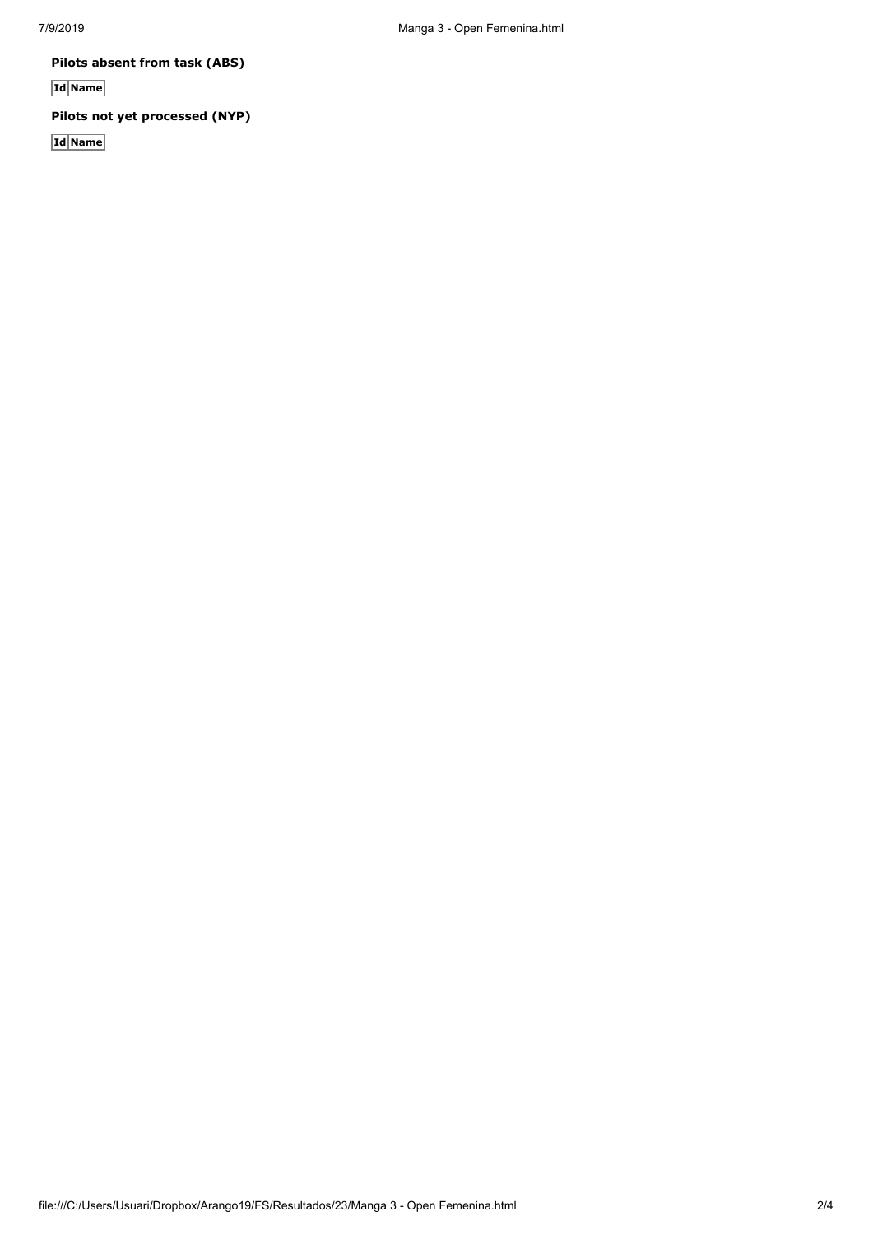**Pilots absent from task (ABS)**

**Id Name**

## **Pilots not yet processed (NYP)**

**Id Name**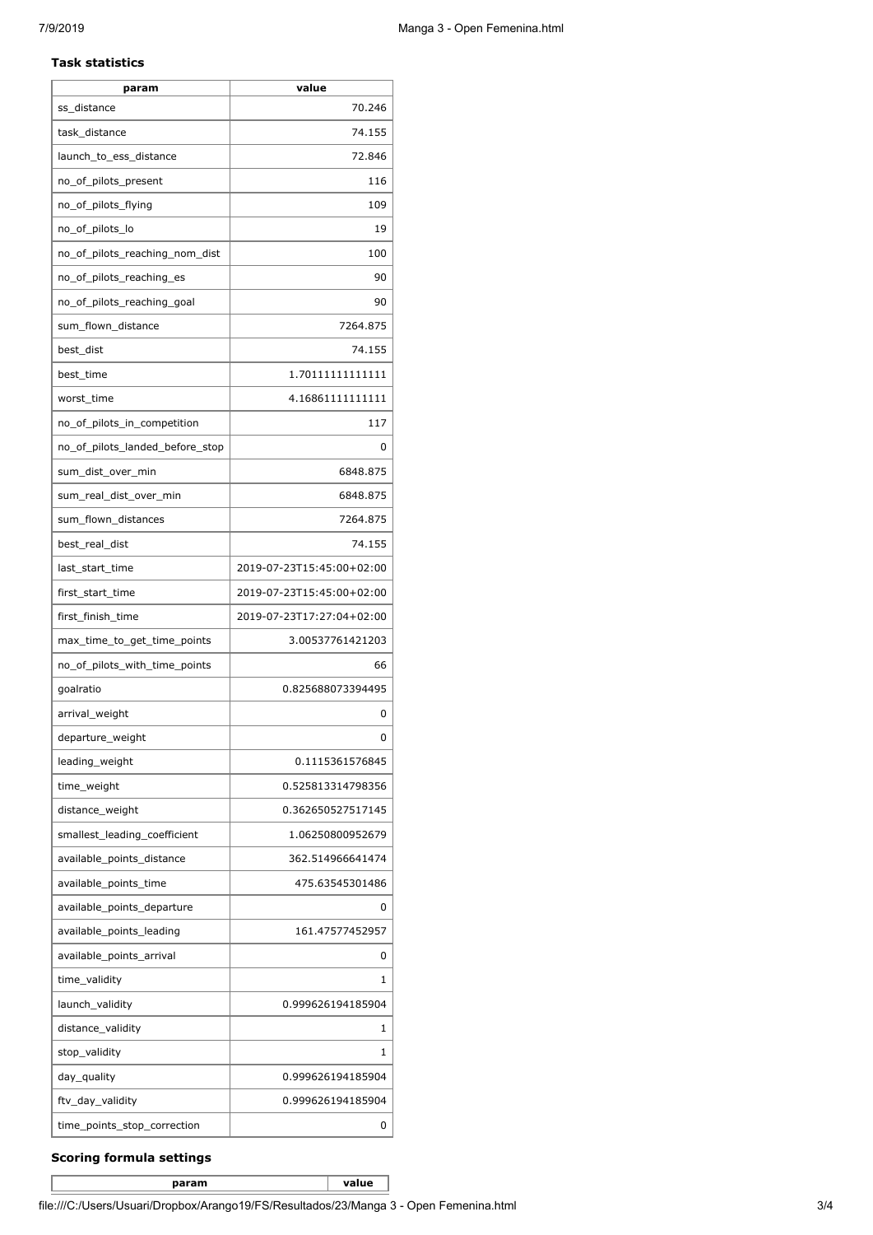### **Task statistics**

| param                           | value                     |
|---------------------------------|---------------------------|
| ss_distance                     | 70.246                    |
| task_distance                   | 74.155                    |
| launch_to_ess_distance          | 72.846                    |
| no_of_pilots_present            | 116                       |
| no_of_pilots_flying             | 109                       |
| no_of_pilots_lo                 | 19                        |
| no_of_pilots_reaching_nom_dist  | 100                       |
| no_of_pilots_reaching_es        | 90                        |
| no_of_pilots_reaching_goal      | 90                        |
| sum_flown_distance              | 7264.875                  |
| best_dist                       | 74.155                    |
| best_time                       | 1.70111111111111          |
| worst_time                      | 4.16861111111111          |
| no_of_pilots_in_competition     | 117                       |
| no_of_pilots_landed_before_stop | 0                         |
| sum_dist_over_min               | 6848.875                  |
| sum_real_dist_over_min          | 6848.875                  |
| sum_flown_distances             | 7264.875                  |
| best_real_dist                  | 74.155                    |
| last_start_time                 | 2019-07-23T15:45:00+02:00 |
| first_start_time                | 2019-07-23T15:45:00+02:00 |
| first_finish_time               | 2019-07-23T17:27:04+02:00 |
| max_time_to_get_time_points     | 3.00537761421203          |
| no_of_pilots_with_time_points   | 66                        |
| goalratio                       | 0.825688073394495         |
| arrival_weight                  | 0                         |
| departure_weight                | 0                         |
| leading_weight                  | 0.1115361576845           |
| time_weight                     | 0.525813314798356         |
| distance_weight                 | 0.362650527517145         |
| smallest_leading_coefficient    | 1.06250800952679          |
| available_points_distance       | 362.514966641474          |
| available_points_time           | 475.63545301486           |
| available_points_departure      | 0                         |
| available_points_leading        | 161.47577452957           |
| available_points_arrival        | 0                         |
| time_validity                   | 1                         |
| launch_validity                 | 0.999626194185904         |
| distance_validity               | 1                         |
| stop_validity                   | 1                         |
| day_quality                     | 0.999626194185904         |
| ftv_day_validity                | 0.999626194185904         |
| time_points_stop_correction     | 0                         |

### **Scoring formula settings**

**param value**